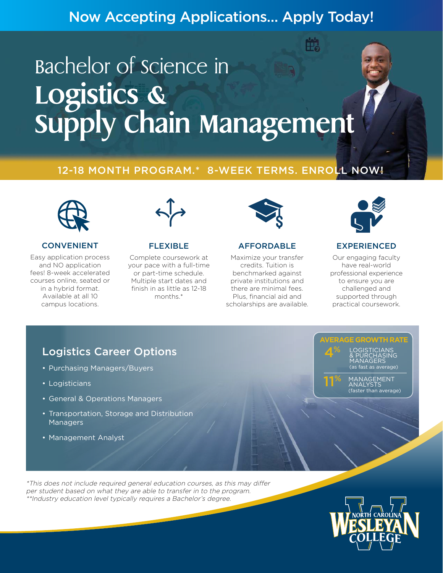# Now Accepting Applications… Apply Today!

# Bachelor of science in Logistics &<br>Supply Chain Management

# 12-18 MONTH PROGRAM.\* 8-WEEK TERMS. ENROLL NOW!



#### CONVENIENT

Easy application process and NO application fees! 8-week accelerated courses online, seated or in a hybrid format. Available at all 10 campus locations.



#### FLEXIBLE

Complete coursework at your pace with a full-time or part-time schedule. Multiple start dates and finish in as little as 12-18 months.\*



#### AFFORDABLE

Maximize your transfer credits. Tuition is benchmarked against private institutions and there are minimal fees. Plus, financial aid and scholarships are available.



#### EXPERIENCED

Our engaging faculty have real-world professional experience to ensure you are challenged and supported through practical coursework.

## Logistics Career Options

- Purchasing Managers/Buyers
- Logisticians
- General & Operations Managers
- Transportation, Storage and Distribution Managers
- Management Analyst

**AVERAGE GROWTH RATE** LOGISTICIANS & PURCHASING MANAGERS (as fast as average) 4%

> MANAGEMENT ANALYSTS (faster than average)

11%

\*This does not include required general education courses, as this may differ per student based on what they are able to transfer in to the program. \*\*Industry education level typically requires a Bachelor's degree.